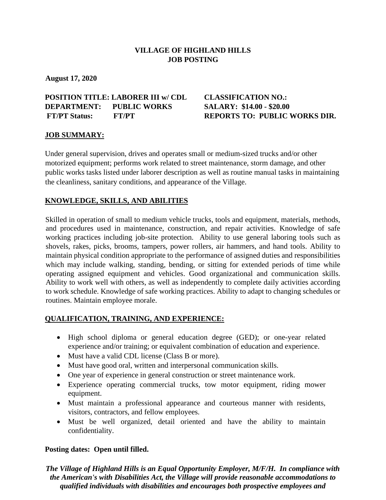# **VILLAGE OF HIGHLAND HILLS JOB POSTING**

**August 17, 2020**

## **POSITION TITLE: LABORER III w/ CDL CLASSIFICATION NO.: DEPARTMENT: PUBLIC WORKS SALARY: \$14.00 - \$20.00 FT/PT Status: FT/PT REPORTS TO: PUBLIC WORKS DIR.**

## **JOB SUMMARY:**

Under general supervision, drives and operates small or medium-sized trucks and/or other motorized equipment; performs work related to street maintenance, storm damage, and other public works tasks listed under laborer description as well as routine manual tasks in maintaining the cleanliness, sanitary conditions, and appearance of the Village.

## **KNOWLEDGE, SKILLS, AND ABILITIES**

Skilled in operation of small to medium vehicle trucks, tools and equipment, materials, methods, and procedures used in maintenance, construction, and repair activities. Knowledge of safe working practices including job-site protection. Ability to use general laboring tools such as shovels, rakes, picks, brooms, tampers, power rollers, air hammers, and hand tools. Ability to maintain physical condition appropriate to the performance of assigned duties and responsibilities which may include walking, standing, bending, or sitting for extended periods of time while operating assigned equipment and vehicles. Good organizational and communication skills. Ability to work well with others, as well as independently to complete daily activities according to work schedule. Knowledge of safe working practices. Ability to adapt to changing schedules or routines. Maintain employee morale.

## **QUALIFICATION, TRAINING, AND EXPERIENCE:**

- High school diploma or general education degree (GED); or one-year related experience and/or training; or equivalent combination of education and experience.
- Must have a valid CDL license (Class B or more).
- Must have good oral, written and interpersonal communication skills.
- One year of experience in general construction or street maintenance work.
- Experience operating commercial trucks, tow motor equipment, riding mower equipment.
- Must maintain a professional appearance and courteous manner with residents, visitors, contractors, and fellow employees.
- Must be well organized, detail oriented and have the ability to maintain confidentiality.

## **Posting dates: Open until filled.**

*The Village of Highland Hills is an Equal Opportunity Employer, M/F/H. In compliance with the American's with Disabilities Act, the Village will provide reasonable accommodations to qualified individuals with disabilities and encourages both prospective employees and*